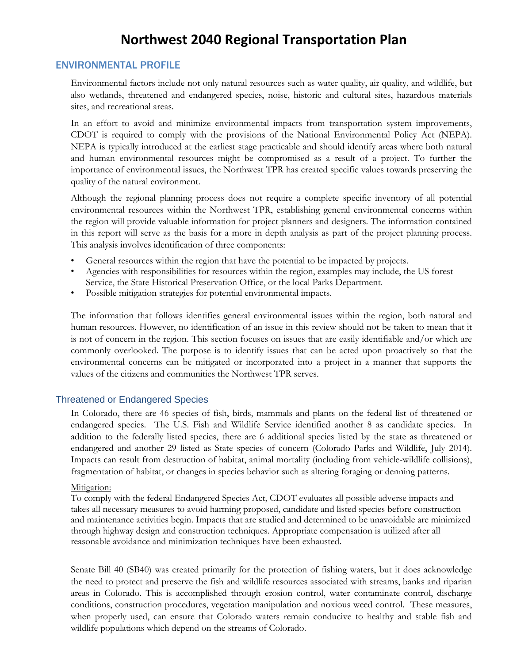## ENVIRONMENTAL PROFILE

Environmental factors include not only natural resources such as water quality, air quality, and wildlife, but also wetlands, threatened and endangered species, noise, historic and cultural sites, hazardous materials sites, and recreational areas.

In an effort to avoid and minimize environmental impacts from transportation system improvements, CDOT is required to comply with the provisions of the National Environmental Policy Act (NEPA). NEPA is typically introduced at the earliest stage practicable and should identify areas where both natural and human environmental resources might be compromised as a result of a project. To further the importance of environmental issues, the Northwest TPR has created specific values towards preserving the quality of the natural environment.

Although the regional planning process does not require a complete specific inventory of all potential environmental resources within the Northwest TPR, establishing general environmental concerns within the region will provide valuable information for project planners and designers. The information contained in this report will serve as the basis for a more in depth analysis as part of the project planning process. This analysis involves identification of three components:

- General resources within the region that have the potential to be impacted by projects.
- Agencies with responsibilities for resources within the region, examples may include, the US forest Service, the State Historical Preservation Office, or the local Parks Department.
- Possible mitigation strategies for potential environmental impacts.

The information that follows identifies general environmental issues within the region, both natural and human resources. However, no identification of an issue in this review should not be taken to mean that it is not of concern in the region. This section focuses on issues that are easily identifiable and/or which are commonly overlooked. The purpose is to identify issues that can be acted upon proactively so that the environmental concerns can be mitigated or incorporated into a project in a manner that supports the values of the citizens and communities the Northwest TPR serves.

### Threatened or Endangered Species

In Colorado, there are 46 species of fish, birds, mammals and plants on the federal list of threatened or endangered species. The U.S. Fish and Wildlife Service identified another 8 as candidate species. In addition to the federally listed species, there are 6 additional species listed by the state as threatened or endangered and another 29 listed as State species of concern (Colorado Parks and Wildlife, July 2014). Impacts can result from destruction of habitat, animal mortality (including from vehicle-wildlife collisions), fragmentation of habitat, or changes in species behavior such as altering foraging or denning patterns.

#### Mitigation:

To comply with the federal Endangered Species Act, CDOT evaluates all possible adverse impacts and takes all necessary measures to avoid harming proposed, candidate and listed species before construction and maintenance activities begin. Impacts that are studied and determined to be unavoidable are minimized through highway design and construction techniques. Appropriate compensation is utilized after all reasonable avoidance and minimization techniques have been exhausted.

Senate Bill 40 (SB40) was created primarily for the protection of fishing waters, but it does acknowledge the need to protect and preserve the fish and wildlife resources associated with streams, banks and riparian areas in Colorado. This is accomplished through erosion control, water contaminate control, discharge conditions, construction procedures, vegetation manipulation and noxious weed control. These measures, when properly used, can ensure that Colorado waters remain conducive to healthy and stable fish and wildlife populations which depend on the streams of Colorado.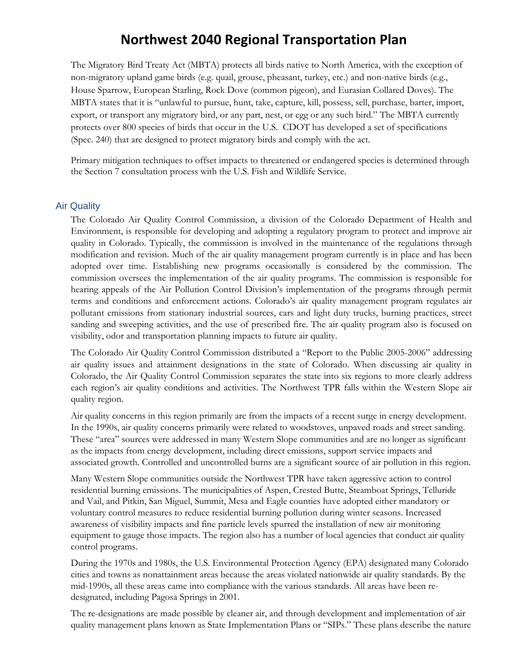The Migratory Bird Treaty Act (MBTA) protects all birds native to North America, with the exception of non-migratory upland game birds (e.g. quail, grouse, pheasant, turkey, etc.) and non-native birds (e.g., House Sparrow, European Starling, Rock Dove (common pigeon), and Eurasian Collared Doves). The MBTA states that it is "unlawful to pursue, hunt, take, capture, kill, possess, sell, purchase, barter, import, export, or transport any migratory bird, or any part, nest, or egg or any such bird." The MBTA currently protects over 800 species of birds that occur in the U.S. CDOT has developed a set of specifications (Spec. 240) that are designed to protect migratory birds and comply with the act.

Primary mitigation techniques to offset impacts to threatened or endangered species is determined through the Section 7 consultation process with the U.S. Fish and Wildlife Service.

#### Air Quality

The Colorado Air Quality Control Commission, a division of the Colorado Department of Health and Environment, is responsible for developing and adopting a regulatory program to protect and improve air quality in Colorado. Typically, the commission is involved in the maintenance of the regulations through modification and revision. Much of the air quality management program currently is in place and has been adopted over time. Establishing new programs occasionally is considered by the commission. The commission oversees the implementation of the air quality programs. The commission is responsible for hearing appeals of the Air Pollution Control Division's implementation of the programs through permit terms and conditions and enforcement actions. Colorado's air quality management program regulates air pollutant emissions from stationary industrial sources, cars and light duty trucks, burning practices, street sanding and sweeping activities, and the use of prescribed fire. The air quality program also is focused on visibility, odor and transportation planning impacts to future air quality.

The Colorado Air Quality Control Commission distributed a "Report to the Public 2005-2006" addressing air quality issues and attainment designations in the state of Colorado. When discussing air quality in Colorado, the Air Quality Control Commission separates the state into six regions to more clearly address each region's air quality conditions and activities. The Northwest TPR falls within the Western Slope air quality region.

Air quality concerns in this region primarily are from the impacts of a recent surge in energy development. In the 1990s, air quality concerns primarily were related to woodstoves, unpaved roads and street sanding. These "area" sources were addressed in many Western Slope communities and are no longer as significant as the impacts from energy development, including direct emissions, support service impacts and associated growth. Controlled and uncontrolled burns are a significant source of air pollution in this region.

Many Western Slope communities outside the Northwest TPR have taken aggressive action to control residential burning emissions. The municipalities of Aspen, Crested Butte, Steamboat Springs, Telluride and Vail, and Pitkin, San Miguel, Summit, Mesa and Eagle counties have adopted either mandatory or voluntary control measures to reduce residential burning pollution during winter seasons. Increased awareness of visibility impacts and fine particle levels spurred the installation of new air monitoring equipment to gauge those impacts. The region also has a number of local agencies that conduct air quality control programs.

During the 1970s and 1980s, the U.S. Environmental Protection Agency (EPA) designated many Colorado cities and towns as nonattainment areas because the areas violated nationwide air quality standards. By the mid-1990s, all these areas came into compliance with the various standards. All areas have been redesignated, including Pagosa Springs in 2001.

The re-designations are made possible by cleaner air, and through development and implementation of air quality management plans known as State Implementation Plans or "SIPs." These plans describe the nature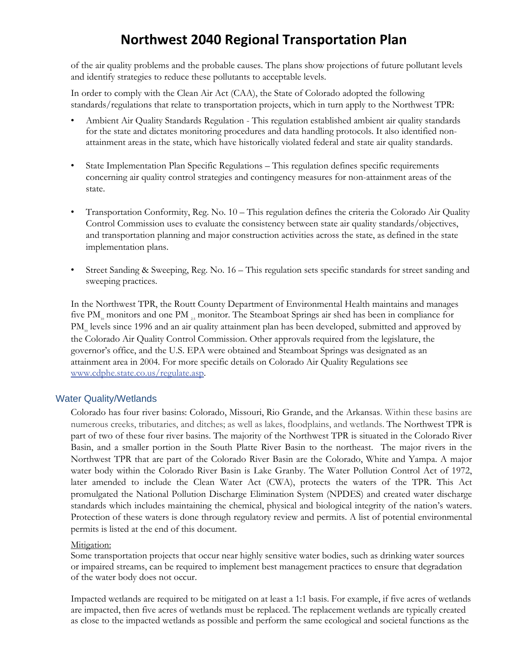of the air quality problems and the probable causes. The plans show projections of future pollutant levels and identify strategies to reduce these pollutants to acceptable levels.

In order to comply with the Clean Air Act (CAA), the State of Colorado adopted the following standards/regulations that relate to transportation projects, which in turn apply to the Northwest TPR:

- Ambient Air Quality Standards Regulation This regulation established ambient air quality standards for the state and dictates monitoring procedures and data handling protocols. It also identified nonattainment areas in the state, which have historically violated federal and state air quality standards.
- State Implementation Plan Specific Regulations This regulation defines specific requirements concerning air quality control strategies and contingency measures for non-attainment areas of the state.
- Transportation Conformity, Reg. No. 10 This regulation defines the criteria the Colorado Air Quality Control Commission uses to evaluate the consistency between state air quality standards/objectives, and transportation planning and major construction activities across the state, as defined in the state implementation plans.
- Street Sanding & Sweeping, Reg. No. 16 This regulation sets specific standards for street sanding and sweeping practices.

In the Northwest TPR, the Routt County Department of Environmental Health maintains and manages five  $PM_{10}$  monitors and one PM  $_{25}$  monitor. The Steamboat Springs air shed has been in compliance for PM<sub>10</sub> levels since 1996 and an air quality attainment plan has been developed, submitted and approved by the Colorado Air Quality Control Commission. Other approvals required from the legislature, the governor's office, and the U.S. EPA were obtained and Steamboat Springs was designated as an attainment area in 2004. For more specific details on Colorado Air Quality Regulations see www.cdphe.state.co.us/regulate.asp.

## Water Quality/Wetlands

Colorado has four river basins: Colorado, Missouri, Rio Grande, and the Arkansas. Within these basins are numerous creeks, tributaries, and ditches; as well as lakes, floodplains, and wetlands. The Northwest TPR is part of two of these four river basins. The majority of the Northwest TPR is situated in the Colorado River Basin, and a smaller portion in the South Platte River Basin to the northeast. The major rivers in the Northwest TPR that are part of the Colorado River Basin are the Colorado, White and Yampa. A major water body within the Colorado River Basin is Lake Granby. The Water Pollution Control Act of 1972, later amended to include the Clean Water Act (CWA), protects the waters of the TPR. This Act promulgated the National Pollution Discharge Elimination System (NPDES) and created water discharge standards which includes maintaining the chemical, physical and biological integrity of the nation's waters. Protection of these waters is done through regulatory review and permits. A list of potential environmental permits is listed at the end of this document.

### Mitigation:

Some transportation projects that occur near highly sensitive water bodies, such as drinking water sources or impaired streams, can be required to implement best management practices to ensure that degradation of the water body does not occur.

Impacted wetlands are required to be mitigated on at least a 1:1 basis. For example, if five acres of wetlands are impacted, then five acres of wetlands must be replaced. The replacement wetlands are typically created as close to the impacted wetlands as possible and perform the same ecological and societal functions as the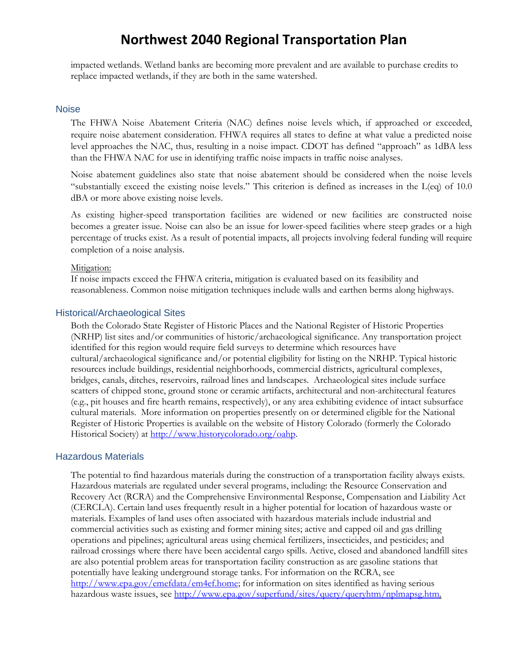impacted wetlands. Wetland banks are becoming more prevalent and are available to purchase credits to replace impacted wetlands, if they are both in the same watershed.

#### **Noise**

The FHWA Noise Abatement Criteria (NAC) defines noise levels which, if approached or exceeded, require noise abatement consideration. FHWA requires all states to define at what value a predicted noise level approaches the NAC, thus, resulting in a noise impact. CDOT has defined "approach" as 1dBA less than the FHWA NAC for use in identifying traffic noise impacts in traffic noise analyses.

Noise abatement guidelines also state that noise abatement should be considered when the noise levels "substantially exceed the existing noise levels." This criterion is defined as increases in the L(eq) of 10.0 dBA or more above existing noise levels.

As existing higher-speed transportation facilities are widened or new facilities are constructed noise becomes a greater issue. Noise can also be an issue for lower-speed facilities where steep grades or a high percentage of trucks exist. As a result of potential impacts, all projects involving federal funding will require completion of a noise analysis.

#### Mitigation:

If noise impacts exceed the FHWA criteria, mitigation is evaluated based on its feasibility and reasonableness. Common noise mitigation techniques include walls and earthen berms along highways.

#### Historical/Archaeological Sites

Both the Colorado State Register of Historic Places and the National Register of Historic Properties (NRHP) list sites and/or communities of historic/archaeological significance. Any transportation project identified for this region would require field surveys to determine which resources have cultural/archaeological significance and/or potential eligibility for listing on the NRHP. Typical historic resources include buildings, residential neighborhoods, commercial districts, agricultural complexes, bridges, canals, ditches, reservoirs, railroad lines and landscapes. Archaeological sites include surface scatters of chipped stone, ground stone or ceramic artifacts, architectural and non-architectural features (e.g., pit houses and fire hearth remains, respectively), or any area exhibiting evidence of intact subsurface cultural materials. More information on properties presently on or determined eligible for the National Register of Historic Properties is available on the website of History Colorado (formerly the Colorado Historical Society) at http://www.historycolorado.org/oahp.

#### Hazardous Materials

The potential to find hazardous materials during the construction of a transportation facility always exists. Hazardous materials are regulated under several programs, including: the Resource Conservation and Recovery Act (RCRA) and the Comprehensive Environmental Response, Compensation and Liability Act (CERCLA). Certain land uses frequently result in a higher potential for location of hazardous waste or materials. Examples of land uses often associated with hazardous materials include industrial and commercial activities such as existing and former mining sites; active and capped oil and gas drilling operations and pipelines; agricultural areas using chemical fertilizers, insecticides, and pesticides; and railroad crossings where there have been accidental cargo spills. Active, closed and abandoned landfill sites are also potential problem areas for transportation facility construction as are gasoline stations that potentially have leaking underground storage tanks. For information on the RCRA, see http://www.epa.gov/emefdata/em4ef.home; for information on sites identified as having serious hazardous waste issues, see http://www.epa.gov/superfund/sites/query/queryhtm/nplmapsg.htm.